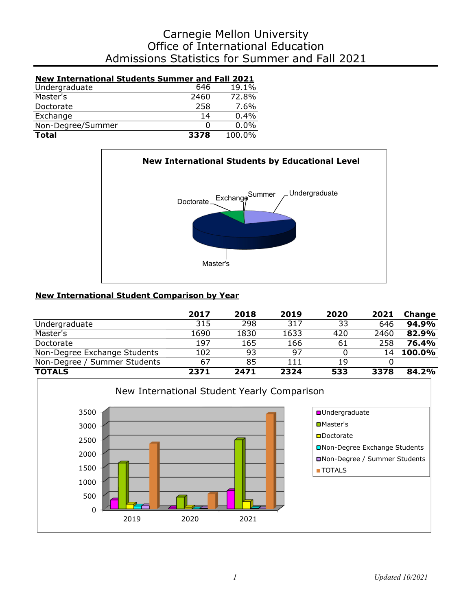# Admissions Statistics for Summer and Fall 2021 Office of International Education Carnegie Mellon University

| <b>New International Students Summer and Fall 2021</b> |      |        |
|--------------------------------------------------------|------|--------|
| Undergraduate                                          | 646  | 19.1%  |
| Master's                                               | 2460 | 72.8%  |
| Doctorate                                              | 258  | 7.6%   |
| Exchange                                               | 14   | 0.4%   |
| Non-Degree/Summer                                      | Ω    | 0.0%   |
| <b>Total</b>                                           | 3378 | 100.0% |



## **New International Student Comparison by Year**

|                              | 2017 | 2018 | 2019 | 2020 | 2021 | Change        |
|------------------------------|------|------|------|------|------|---------------|
| Undergraduate                | 315  | 298  | 317  | 33   | 646  | 94.9%         |
| Master's                     | 1690 | 1830 | 1633 | 420  | 2460 | 82.9%         |
| Doctorate                    | 197  | 165  | 166  | 61   | 258  | 76.4%         |
| Non-Degree Exchange Students | 102  | 93   | -97  |      | 14   | <b>100.0%</b> |
| Non-Degree / Summer Students | 67   | 85   | 111  | 19   |      |               |
| <b>TOTALS</b>                | 2371 | 2471 | 2324 | 533  | 3378 | 84.2%         |

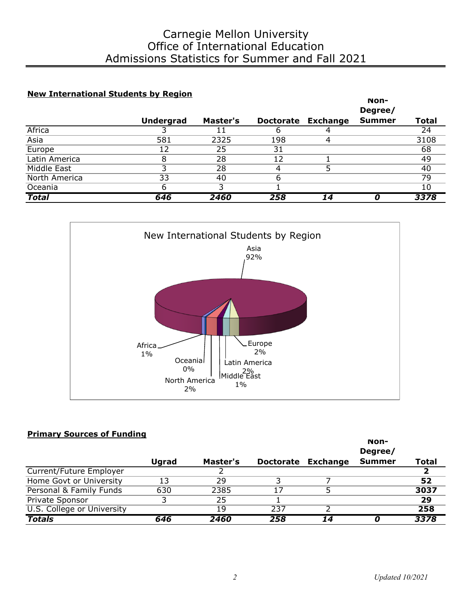### **New International Students by Region**

|               |                  |          |                  |                 | Non-          |              |
|---------------|------------------|----------|------------------|-----------------|---------------|--------------|
|               |                  |          |                  |                 | Degree/       |              |
|               | <b>Undergrad</b> | Master's | <b>Doctorate</b> | <b>Exchange</b> | <b>Summer</b> | <b>Total</b> |
| Africa        |                  |          |                  |                 |               | 24           |
| Asia          | 581              | 2325     | 198              | 4               |               | 3108         |
| Europe        | 12               | 25       | 31               |                 |               | 68           |
| Latin America | 8                | 28       | 12               |                 |               | 49           |
| Middle East   |                  | 28       |                  |                 |               | 40           |
| North America | 33               | 40       | h                |                 |               | 79           |
| Oceania       | 6                |          |                  |                 |               | 10           |
| <b>Total</b>  | 646              | 2460     | 258              | 14              |               | 3378         |



#### **Primary Sources of Funding**

|                            |              |          |     |                    | Non-<br>Degree/ |              |
|----------------------------|--------------|----------|-----|--------------------|-----------------|--------------|
|                            | <b>Ugrad</b> | Master's |     | Doctorate Exchange | <b>Summer</b>   | <b>Total</b> |
| Current/Future Employer    |              |          |     |                    |                 |              |
| Home Govt or University    | 13           | 29       |     |                    |                 | 52           |
| Personal & Family Funds    | 630          | 2385     | 17  |                    |                 | 3037         |
| Private Sponsor            | ີ            | 25       |     |                    |                 | 29           |
| U.S. College or University |              | 19       | 237 |                    |                 | 258          |
| <b>Totals</b>              | 646          | 2460     | 258 | 14                 |                 | 3378         |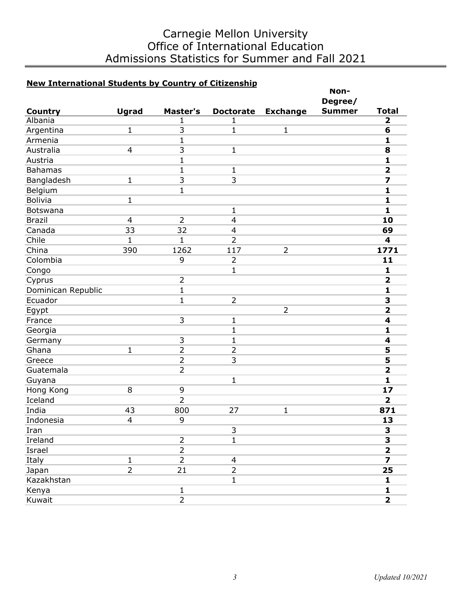# Carnegie Mellon University Office of International Education Admissions Statistics for Summer and Fall 2021

## **New International Students by Country of Citizenship**

|                    |                |                |                         |                 | Non-          |                         |
|--------------------|----------------|----------------|-------------------------|-----------------|---------------|-------------------------|
|                    |                |                |                         |                 | Degree/       |                         |
| <b>Country</b>     | <b>Ugrad</b>   | Master's       | <b>Doctorate</b>        | <b>Exchange</b> | <b>Summer</b> | <b>Total</b>            |
| Albania            |                | 1              | 1                       |                 |               | $\overline{\mathbf{2}}$ |
| Argentina          | $\mathbf{1}$   | 3              | 1                       | $\mathbf{1}$    |               | 6                       |
| Armenia            |                | $\mathbf{1}$   |                         |                 |               | 1                       |
| Australia          | $\overline{4}$ | 3              | $\mathbf{1}$            |                 |               | 8                       |
| Austria            |                | $\mathbf{1}$   |                         |                 |               | $\mathbf{1}$            |
| <b>Bahamas</b>     |                | $\mathbf{1}$   | $\mathbf{1}$            |                 |               | $\overline{\mathbf{2}}$ |
| Bangladesh         | $\mathbf 1$    | 3              | 3                       |                 |               | 7                       |
| Belgium            |                | $\mathbf{1}$   |                         |                 |               | $\mathbf{1}$            |
| <b>Bolivia</b>     | $\mathbf 1$    |                |                         |                 |               | 1                       |
| Botswana           |                |                | $\mathbf{1}$            |                 |               | $\mathbf{1}$            |
| <b>Brazil</b>      | $\overline{4}$ | $\overline{2}$ | $\overline{4}$          |                 |               | 10                      |
| Canada             | 33             | 32             | $\overline{\mathbf{4}}$ |                 |               | 69                      |
| Chile              | 1              | 1              | $\overline{2}$          |                 |               | 4                       |
| China              | 390            | 1262           | 117                     | $\overline{2}$  |               | 1771                    |
| Colombia           |                | 9              | $\overline{2}$          |                 |               | 11                      |
| Congo              |                |                | $\mathbf{1}$            |                 |               | 1                       |
| Cyprus             |                | $\overline{2}$ |                         |                 |               | $\overline{\mathbf{2}}$ |
| Dominican Republic |                | $\mathbf{1}$   |                         |                 |               | $\mathbf{1}$            |
| Ecuador            |                | $\mathbf{1}$   | $\overline{2}$          |                 |               | 3                       |
| Egypt              |                |                |                         | $\overline{2}$  |               | $\overline{\mathbf{2}}$ |
| France             |                | 3              | $\mathbf{1}$            |                 |               | 4                       |
| Georgia            |                |                | $\mathbf{1}$            |                 |               | 1                       |
| Germany            |                | $\mathsf 3$    | $\mathbf{1}$            |                 |               | 4                       |
| Ghana              | $\mathbf{1}$   | $\overline{2}$ | $\overline{2}$          |                 |               | 5                       |
| Greece             |                | $\overline{2}$ | 3                       |                 |               | 5                       |
| Guatemala          |                | $\overline{2}$ |                         |                 |               | $\overline{\mathbf{2}}$ |
| Guyana             |                |                | $\mathbf{1}$            |                 |               | 1                       |
| Hong Kong          | 8              | 9              |                         |                 |               | 17                      |
| Iceland            |                | $\overline{2}$ |                         |                 |               | $\overline{\mathbf{2}}$ |
| India              | 43             | 800            | 27                      | $\mathbf{1}$    |               | 871                     |
| Indonesia          | $\overline{4}$ | 9              |                         |                 |               | 13                      |
| Iran               |                |                | 3                       |                 |               | 3                       |
| Ireland            |                | $\overline{2}$ | $\mathbf{1}$            |                 |               | 3                       |
| Israel             |                | $\overline{2}$ |                         |                 |               | $\overline{\mathbf{2}}$ |
| Italy              | $\mathbf{1}$   | $\overline{2}$ | $\overline{4}$          |                 |               | $\overline{\mathbf{z}}$ |
| Japan              | $\overline{2}$ | 21             | $\overline{2}$          |                 |               | 25                      |
| Kazakhstan         |                |                | $\mathbf{1}$            |                 |               | $\mathbf{1}$            |
| Kenya              |                | $\mathbf 1$    |                         |                 |               | $\mathbf{1}$            |
|                    |                | $\overline{2}$ |                         |                 |               |                         |
| Kuwait             |                |                |                         |                 |               | $\overline{\mathbf{2}}$ |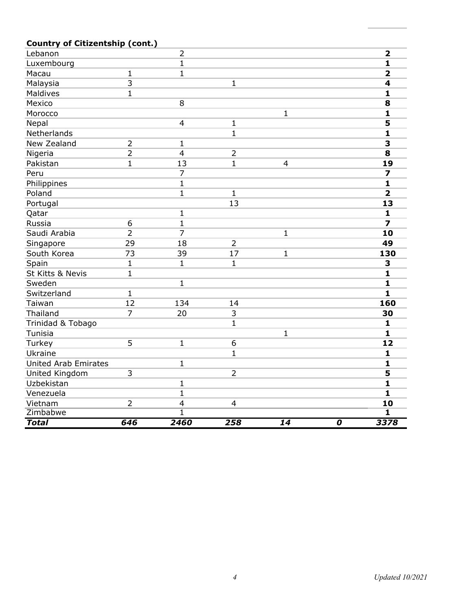## **Country of Citizentship (cont.)**

| Lebanon                     |                           | $\overline{2}$          |                |                |                             | $\overline{\mathbf{2}}$ |
|-----------------------------|---------------------------|-------------------------|----------------|----------------|-----------------------------|-------------------------|
| Luxembourg                  |                           | $\mathbf{1}$            |                |                |                             | $\mathbf{1}$            |
| Macau                       | $\mathbf 1$               | $\mathbf{1}$            |                |                |                             | $\overline{\mathbf{2}}$ |
| Malaysia                    | $\overline{\overline{3}}$ |                         | 1              |                |                             | 4                       |
| Maldives                    | $\mathbf 1$               |                         |                |                |                             | $\mathbf{1}$            |
| Mexico                      |                           | 8                       |                |                |                             | 8                       |
| Morocco                     |                           |                         |                | $\mathbf{1}$   |                             | $\mathbf{1}$            |
| Nepal                       |                           | $\overline{4}$          | $\mathbf 1$    |                |                             | 5                       |
| Netherlands                 |                           |                         | $\mathbf{1}$   |                |                             | $\mathbf{1}$            |
| New Zealand                 | $\overline{2}$            | $\mathbf{1}$            |                |                |                             | 3                       |
| Nigeria                     | $\overline{2}$            | $\overline{4}$          | $\overline{2}$ |                |                             | 8                       |
| Pakistan                    | $\mathbf{1}$              | 13                      | $\mathbf{1}$   | $\overline{4}$ |                             | 19                      |
| Peru                        |                           | $\overline{7}$          |                |                |                             | 7                       |
| Philippines                 |                           | $\mathbf{1}$            |                |                |                             | $\mathbf{1}$            |
| Poland                      |                           | $\mathbf{1}$            | $\mathbf{1}$   |                |                             | $\overline{2}$          |
| Portugal                    |                           |                         | 13             |                |                             | 13                      |
| Qatar                       |                           | $\mathbf 1$             |                |                |                             | $\mathbf{1}$            |
| Russia                      | 6                         | $\mathbf{1}$            |                |                |                             | $\overline{z}$          |
| Saudi Arabia                | $\overline{2}$            | $\overline{7}$          |                | $\mathbf 1$    |                             | 10                      |
| Singapore                   | 29                        | 18                      | $\overline{2}$ |                |                             | 49                      |
| South Korea                 | 73                        | 39                      | 17             | $\mathbf{1}$   |                             | 130                     |
| Spain                       | $\mathbf{1}$              | $\mathbf{1}$            | $\mathbf{1}$   |                |                             | 3                       |
| St Kitts & Nevis            | $\mathbf{1}$              |                         |                |                |                             | $\mathbf{1}$            |
| Sweden                      |                           | $\mathbf{1}$            |                |                |                             | $\mathbf{1}$            |
| Switzerland                 | $\mathbf{1}$              |                         |                |                |                             | $\mathbf{1}$            |
| Taiwan                      | 12                        | 134                     | 14             |                |                             | 160                     |
| Thailand                    | $\overline{7}$            | 20                      | 3              |                |                             | 30                      |
| Trinidad & Tobago           |                           |                         | $\mathbf{1}$   |                |                             | $\mathbf{1}$            |
| Tunisia                     |                           |                         |                | $\mathbf{1}$   |                             | $\mathbf{1}$            |
| Turkey                      | 5                         | $\mathbf{1}$            | 6              |                |                             | 12                      |
| Ukraine                     |                           |                         | $\mathbf{1}$   |                |                             | $\mathbf{1}$            |
| <b>United Arab Emirates</b> |                           | $\mathbf{1}$            |                |                |                             | $\mathbf{1}$            |
| United Kingdom              | 3                         |                         | $\overline{2}$ |                |                             | 5                       |
| Uzbekistan                  |                           | $\mathbf 1$             |                |                |                             | $\mathbf{1}$            |
| Venezuela                   |                           | $\mathbf{1}$            |                |                |                             | 1                       |
| Vietnam                     | $\overline{2}$            | $\overline{\mathbf{4}}$ | 4              |                |                             | 10                      |
| Zimbabwe                    |                           | $\overline{1}$          |                |                |                             | $\overline{\mathbf{1}}$ |
| <b>Total</b>                | 646                       | 2460                    | 258            | 14             | $\overline{\boldsymbol{o}}$ | 3378                    |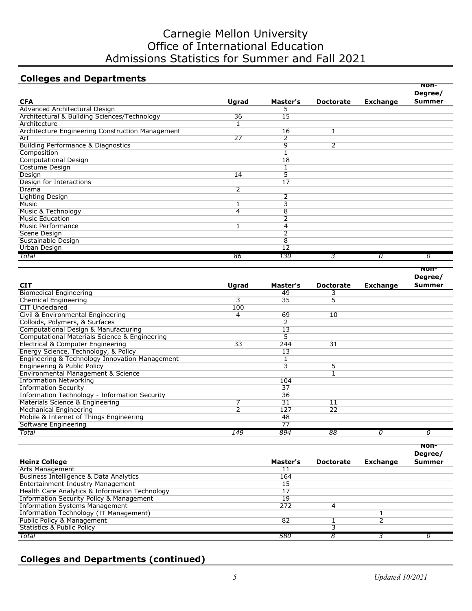# Carnegie Mellon University Office of International Education Admissions Statistics for Summer and Fall 2021

## **Colleges and Departments**

|                                                  |       |                 |                  |                 | Non-<br>Degree/ |
|--------------------------------------------------|-------|-----------------|------------------|-----------------|-----------------|
| <b>CFA</b>                                       | Ugrad | Master's        | <b>Doctorate</b> | <b>Exchange</b> | <b>Summer</b>   |
| Advanced Architectural Design                    |       |                 |                  |                 |                 |
| Architectural & Building Sciences/Technology     | 36    | 15              |                  |                 |                 |
| Architecture                                     |       |                 |                  |                 |                 |
| Architecture Engineering Construction Management |       | 16              |                  |                 |                 |
| Art                                              | 27    | 2               |                  |                 |                 |
| <b>Building Performance &amp; Diagnostics</b>    |       | 9               | $\overline{2}$   |                 |                 |
| Composition                                      |       |                 |                  |                 |                 |
| Computational Design                             |       | 18              |                  |                 |                 |
| Costume Design                                   |       |                 |                  |                 |                 |
| Design                                           | 14    | 5               |                  |                 |                 |
| Design for Interactions                          |       | 17              |                  |                 |                 |
| Drama                                            | 2     |                 |                  |                 |                 |
| Lighting Design                                  |       | 2               |                  |                 |                 |
| Music                                            |       | 3               |                  |                 |                 |
| Music & Technology                               | 4     | 8               |                  |                 |                 |
| <b>Music Education</b>                           |       | 2               |                  |                 |                 |
| Music Performance                                |       | 4               |                  |                 |                 |
| Scene Design                                     |       | 2               |                  |                 |                 |
| Sustainable Design                               |       | 8               |                  |                 |                 |
| Urban Design                                     |       | $\overline{12}$ |                  |                 |                 |
| Total                                            | 86    | 130             |                  | 0               | 0               |

|                                                |       |                         |                  |                 | Degree/       |
|------------------------------------------------|-------|-------------------------|------------------|-----------------|---------------|
| <b>CIT</b>                                     | Ugrad | Master's                | <b>Doctorate</b> | <b>Exchange</b> | <b>Summer</b> |
| <b>Biomedical Engineering</b>                  |       | 49                      |                  |                 |               |
| Chemical Engineering                           | 3     | 35                      | 5                |                 |               |
| CIT Undeclared                                 | 100   |                         |                  |                 |               |
| Civil & Environmental Engineering              | 4     | 69                      | 10               |                 |               |
| Colloids, Polymers, & Surfaces                 |       | 2                       |                  |                 |               |
| Computational Design & Manufacturing           |       | 13                      |                  |                 |               |
| Computational Materials Science & Engineering  |       | 5                       |                  |                 |               |
| Electrical & Computer Engineering              | 33    | 244                     | 31               |                 |               |
| Energy Science, Technology, & Policy           |       | 13                      |                  |                 |               |
| Engineering & Technology Innovation Management |       |                         |                  |                 |               |
| Engineering & Public Policy                    |       | $\overline{\mathbf{3}}$ | 5                |                 |               |
| Environmental Management & Science             |       |                         |                  |                 |               |
| <b>Information Networking</b>                  |       | 104                     |                  |                 |               |
| <b>Information Security</b>                    |       | 37                      |                  |                 |               |
| Information Technology - Information Security  |       | 36                      |                  |                 |               |
| Materials Science & Engineering                | ⇁     | 31                      | 11               |                 |               |
| Mechanical Engineering                         | ว     | 127                     | 22               |                 |               |
| Mobile & Internet of Things Engineering        |       | 48                      |                  |                 |               |
| Software Engineering                           |       | 77                      |                  |                 |               |
| Total                                          | 149   | 894                     | 88               | 0               |               |

|                                                     |          |                  |                 | non-<br>Degree/ |
|-----------------------------------------------------|----------|------------------|-----------------|-----------------|
| <b>Heinz College</b>                                | Master's | <b>Doctorate</b> | <b>Exchange</b> | <b>Summer</b>   |
| <b>Arts Management</b>                              |          |                  |                 |                 |
| Business Intelligence & Data Analytics              | 164      |                  |                 |                 |
| <b>Entertainment Industry Management</b>            | 15       |                  |                 |                 |
| Health Care Analytics & Information Technology      | 17       |                  |                 |                 |
| <b>Information Security Policy &amp; Management</b> | 19       |                  |                 |                 |
| <b>Information Systems Management</b>               | 272      | 4                |                 |                 |
| Information Technology (IT Management)              |          |                  |                 |                 |
| Public Policy & Management                          | 82       |                  |                 |                 |
| Statistics & Public Policy                          |          |                  |                 |                 |
| Total                                               | 580      |                  |                 |                 |

## **Colleges and Departments (continued)**

**Non-**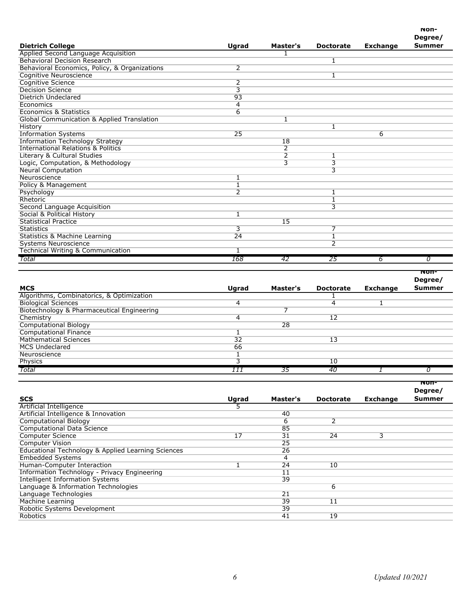|                                               |                |                |                  |                 | Degree/       |
|-----------------------------------------------|----------------|----------------|------------------|-----------------|---------------|
| <b>Dietrich College</b>                       | Ugrad          | Master's       | <b>Doctorate</b> | <b>Exchange</b> | <b>Summer</b> |
| Applied Second Language Acquisition           |                |                |                  |                 |               |
| <b>Behavioral Decision Research</b>           |                |                | 1                |                 |               |
| Behavioral Economics, Policy, & Organizations | $\overline{2}$ |                |                  |                 |               |
| Cognitive Neuroscience                        |                |                | 1                |                 |               |
| <b>Cognitive Science</b>                      | $\overline{2}$ |                |                  |                 |               |
| <b>Decision Science</b>                       | 3              |                |                  |                 |               |
| Dietrich Undeclared                           | 93             |                |                  |                 |               |
| Economics                                     | 4              |                |                  |                 |               |
| Economics & Statistics                        | 6              |                |                  |                 |               |
| Global Communication & Applied Translation    |                | $\mathbf{1}$   |                  |                 |               |
| History                                       |                |                |                  |                 |               |
| <b>Information Systems</b>                    | 25             |                |                  | 6               |               |
| <b>Information Technology Strategy</b>        |                | 18             |                  |                 |               |
| <b>International Relations &amp; Politics</b> |                | 2              |                  |                 |               |
| Literary & Cultural Studies                   |                | $\overline{2}$ | 1                |                 |               |
| Logic, Computation, & Methodology             |                | 3              | 3                |                 |               |
| <b>Neural Computation</b>                     |                |                | $\overline{3}$   |                 |               |
| Neuroscience                                  |                |                |                  |                 |               |
| Policy & Management                           |                |                |                  |                 |               |
| Psychology                                    | $\overline{2}$ |                | 1                |                 |               |
| Rhetoric                                      |                |                | 1                |                 |               |
| Second Language Acquisition                   |                |                | $\overline{3}$   |                 |               |
| <b>Social &amp; Political History</b>         | 1              |                |                  |                 |               |
| <b>Statistical Practice</b>                   |                | 15             |                  |                 |               |
| <b>Statistics</b>                             | $\overline{3}$ |                | 7                |                 |               |
| Statistics & Machine Learning                 | 24             |                | 1                |                 |               |
| <b>Systems Neuroscience</b>                   |                |                | $\overline{2}$   |                 |               |
| Technical Writing & Communication             | 1              |                |                  |                 |               |
| Total                                         | 168            | 42             | 25               | 6               | 0             |

|                                            |       |          |                  |                 | Non-<br>Degree/ |
|--------------------------------------------|-------|----------|------------------|-----------------|-----------------|
| <b>MCS</b>                                 | Ugrad | Master's | <b>Doctorate</b> | <b>Exchange</b> | <b>Summer</b>   |
| Algorithms, Combinatorics, & Optimization  |       |          |                  |                 |                 |
| <b>Biological Sciences</b>                 | 4     |          | 4                |                 |                 |
| Biotechnology & Pharmaceutical Engineering |       |          |                  |                 |                 |
| Chemistry                                  | 4     |          | 12               |                 |                 |
| <b>Computational Biology</b>               |       | 28       |                  |                 |                 |
| <b>Computational Finance</b>               |       |          |                  |                 |                 |
| <b>Mathematical Sciences</b>               | 32    |          | 13               |                 |                 |
| <b>MCS Undeclared</b>                      | 66    |          |                  |                 |                 |
| Neuroscience                               |       |          |                  |                 |                 |
| Physics                                    |       |          | 10               |                 |                 |
| Total                                      | ,,,   | 35       | -40              |                 |                 |

|                                                    |       |          |                  |                 | Degree/       |
|----------------------------------------------------|-------|----------|------------------|-----------------|---------------|
| <b>SCS</b>                                         | Ugrad | Master's | <b>Doctorate</b> | <b>Exchange</b> | <b>Summer</b> |
| Artificial Intelligence                            |       |          |                  |                 |               |
| Artificial Intelligence & Innovation               |       | 40       |                  |                 |               |
| <b>Computational Biology</b>                       |       | 6        | 2                |                 |               |
| <b>Computational Data Science</b>                  |       | 85       |                  |                 |               |
| <b>Computer Science</b>                            | 17    | 31       | 24               | 3               |               |
| <b>Computer Vision</b>                             |       | 25       |                  |                 |               |
| Educational Technology & Applied Learning Sciences |       | 26       |                  |                 |               |
| <b>Embedded Systems</b>                            |       | 4        |                  |                 |               |
| Human-Computer Interaction                         |       | 24       | 10               |                 |               |
| Information Technology - Privacy Engineering       |       | 11       |                  |                 |               |
| <b>Intelligent Information Systems</b>             |       | 39       |                  |                 |               |
| Language & Information Technologies                |       |          | 6                |                 |               |
| Language Technologies                              |       | 21       |                  |                 |               |
| Machine Learning                                   |       | 39       | 11               |                 |               |
| Robotic Systems Development                        |       | 39       |                  |                 |               |
| Robotics                                           |       | 41       | 19               |                 |               |

**Non-**

**Non-**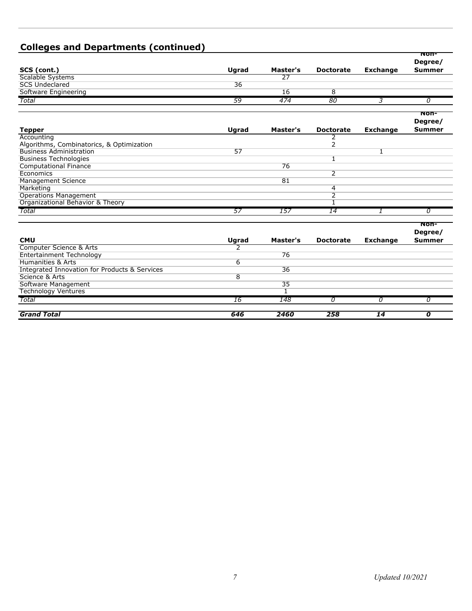| <b>Colleges and Departments (continued)</b>   |                |          |                  |                 |                                         |
|-----------------------------------------------|----------------|----------|------------------|-----------------|-----------------------------------------|
| SCS (cont.)                                   | Ugrad          | Master's | <b>Doctorate</b> | <b>Exchange</b> | <b>NON-</b><br>Degree/<br><b>Summer</b> |
| Scalable Systems                              |                | 27       |                  |                 |                                         |
| <b>SCS Undeclared</b>                         | 36             |          |                  |                 |                                         |
| Software Engineering                          |                | 16       | $\overline{8}$   |                 |                                         |
| Total                                         | 59             | 474      | 80               | 3               | 0                                       |
|                                               |                |          |                  |                 |                                         |
|                                               |                |          |                  |                 | NON-<br>Degree/                         |
| <b>Tepper</b>                                 | Ugrad          | Master's | <b>Doctorate</b> | <b>Exchange</b> | <b>Summer</b>                           |
| Accounting                                    |                |          | 2                |                 |                                         |
| Algorithms, Combinatorics, & Optimization     |                |          | $\overline{2}$   |                 |                                         |
| <b>Business Administration</b>                | 57             |          |                  | 1               |                                         |
| <b>Business Technologies</b>                  |                |          | $\mathbf{1}$     |                 |                                         |
| <b>Computational Finance</b>                  |                | 76       |                  |                 |                                         |
| Economics                                     |                |          | $\overline{2}$   |                 |                                         |
| <b>Management Science</b>                     |                | 81       |                  |                 |                                         |
| Marketing                                     |                |          | 4                |                 |                                         |
| <b>Operations Management</b>                  |                |          | $\overline{2}$   |                 |                                         |
| Organizational Behavior & Theory              |                |          | ī                |                 |                                         |
| Total                                         | 57             | 157      | 14               |                 | 0                                       |
|                                               |                |          |                  |                 | Non-<br>Degree/                         |
| <b>CMU</b>                                    | Ugrad          | Master's | <b>Doctorate</b> | <b>Exchange</b> | <b>Summer</b>                           |
| Computer Science & Arts                       | 2              |          |                  |                 |                                         |
| <b>Entertainment Technology</b>               |                | 76       |                  |                 |                                         |
| Humanities & Arts                             | 6              |          |                  |                 |                                         |
| Integrated Innovation for Products & Services |                | 36       |                  |                 |                                         |
| Science & Arts                                | $\overline{8}$ |          |                  |                 |                                         |
| Software Management                           |                | 35       |                  |                 |                                         |
| <b>Technology Ventures</b>                    |                | T        |                  |                 |                                         |
| Total                                         | 16             | 148      | 0                | 0               | 0                                       |
| <b>Grand Total</b>                            | 646            | 2460     | 258              | 14              | 0                                       |

# **Colleges and Departments (continued)**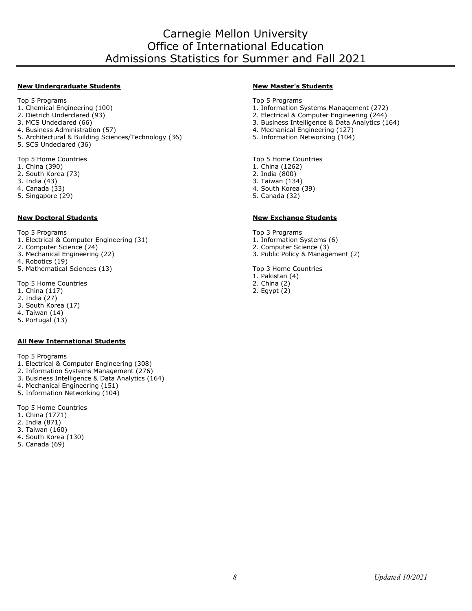# Carnegie Mellon University Office of International Education Admissions Statistics for Summer and Fall 2021

#### **New Undergraduate Students New Master's Students**

Top 5 Programs Top 5 Programs

- 
- 
- 
- 
- 5. Architectural & Building Sciences/Technology (36)
- 5. SCS Undeclared (36)

- 1. China (390) 1. China (1262) 1. China (1262) 1. China (1262) 1. China (1262) 1. China (1262) 1. China (390)
- 2. South Korea (73)
- 
- 
- 5. Singapore (29)

#### **New Doctoral Students New Exchange Students**

- Top 5 Programs Top 3 Programs 1. Electrical & Computer Engineering (31) 1. Information Systems (31) 1. Information Systems (3) 1. Information Systems (3)
- 2. Computer Science (24)
- 3. Mechanical Engineering (22) 3. Public Policy & Management (2)
- 4. Robotics (19)
- 5. Mathematical Sciences (13) Top 3 Home Countries

Top 5 Home Countries

- 1. China (117) 2. Egypt (2)
- 2. India (27)
- 3. South Korea (17)
- 4. Taiwan (14)
- 5. Portugal (13)

#### **All New International Students**

Top 5 Programs

- 1. Electrical & Computer Engineering (308)
- 2. Information Systems Management (276)
- 3. Business Intelligence & Data Analytics (164)
- 4. Mechanical Engineering (151)
- 5. Information Networking (104)

Top 5 Home Countries

- 1. China (1771)
- 2. India (871)
- 3. Taiwan (160)
- 4. South Korea (130)
- 5. Canada (69)

- 
- 1. Chemical Engineering (100) 1. Chemical Engineering (100) 1. Information Systems Management (272)<br>2. Dietrich Underclared (93) 1. Information Systems Management (272)
- 2. Dietrich Underclared (93) <br>2. Electrical & Computer Engineering (244)<br>3. Business Intelligence & Data Analytics (1
	- 3. Business Intelligence & Data Analytics (164)
- 4. Business Administration (57)<br>5. Architectural & Building Sciences/Technology (36) 5. Information Networking (104)
	-

Top 5 Home Countries Top 5 Home Countries Top 5 Home Countries

- 
- 
- 3. India (43) 3. Taiwan (134)
- 4. Canada (33) 4. South Korea (39)
	-

- 
- 
- 

- 1. Pakistan (4)
- 
-